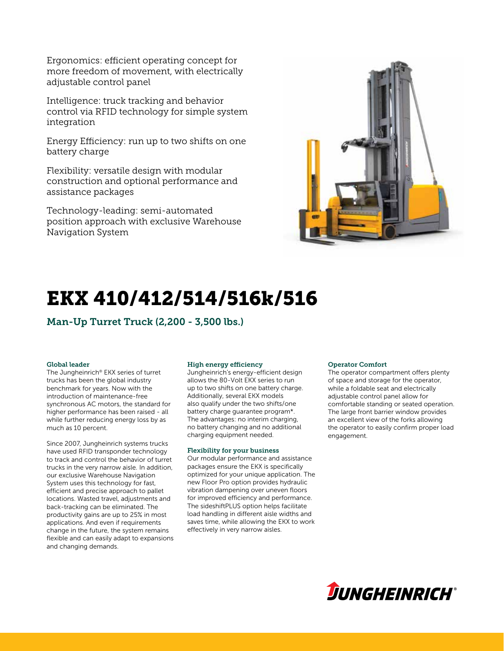Ergonomics: efficient operating concept for more freedom of movement, with electrically adjustable control panel

Intelligence: truck tracking and behavior control via RFID technology for simple system integration

Energy Efficiency: run up to two shifts on one battery charge

Flexibility: versatile design with modular construction and optional performance and assistance packages

Technology-leading: semi-automated position approach with exclusive Warehouse Navigation System



## EKX 410/412/514/516k/516

### Man-Up Turret Truck (2,200 - 3,500 lbs.)

#### Global leader

The Jungheinrich® EKX series of turret trucks has been the global industry benchmark for years. Now with the introduction of maintenance-free synchronous AC motors, the standard for higher performance has been raised - all while further reducing energy loss by as much as 10 percent.

Since 2007, Jungheinrich systems trucks have used RFID transponder technology to track and control the behavior of turret trucks in the very narrow aisle. In addition, our exclusive Warehouse Navigation System uses this technology for fast, efficient and precise approach to pallet locations. Wasted travel, adjustments and back-tracking can be eliminated. The productivity gains are up to 25% in most applications. And even if requirements change in the future, the system remains flexible and can easily adapt to expansions and changing demands.

#### High energy efficiency

Jungheinrich's energy-efficient design allows the 80-Volt EKX series to run up to two shifts on one battery charge. Additionally, several EKX models also qualify under the two shifts/one battery charge guarantee program\*. The advantages: no interim charging, no battery changing and no additional charging equipment needed.

#### Flexibility for your business

Our modular performance and assistance packages ensure the EKX is specifically optimized for your unique application. The new Floor Pro option provides hydraulic vibration dampening over uneven floors for improved efficiency and performance. The sideshiftPLUS option helps facilitate load handling in different aisle widths and saves time, while allowing the EKX to work effectively in very narrow aisles.

#### Operator Comfort

The operator compartment offers plenty of space and storage for the operator, while a foldable seat and electrically adjustable control panel allow for comfortable standing or seated operation. The large front barrier window provides an excellent view of the forks allowing the operator to easily confirm proper load engagement.

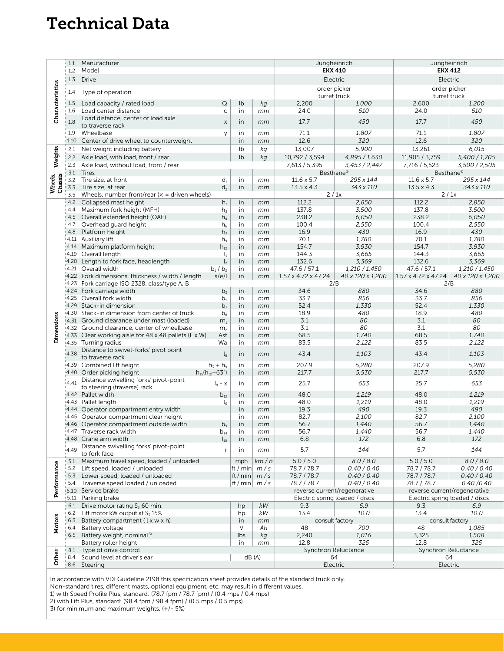### Technical Data

|                    |      | 1.1   Manufacturer                                                                                                 |                       |                        |                              |                                 | Jungheinrich                         |                                        | Jungheinrich                 |
|--------------------|------|--------------------------------------------------------------------------------------------------------------------|-----------------------|------------------------|------------------------------|---------------------------------|--------------------------------------|----------------------------------------|------------------------------|
|                    |      | 1.2 Model                                                                                                          |                       |                        | <b>EKX 410</b>               | <b>EKX 412</b>                  |                                      |                                        |                              |
|                    |      | $1.3$ Drive                                                                                                        |                       |                        |                              |                                 | Electric                             | Electric                               |                              |
|                    |      | 1.4 Type of operation                                                                                              |                       |                        | order picker<br>turret truck | order picker<br>turret truck    |                                      |                                        |                              |
|                    |      | 1.5   Load capacity / rated load                                                                                   | Q                     | lb                     | kg                           | 2,200                           | 1,000                                | 2,600                                  | 1,200                        |
| రే                 |      | 1.6 Load center distance                                                                                           | $\mathsf{C}$          | in                     | mm                           | 24.0                            | 610                                  | 24.0                                   | 610                          |
|                    | 1.8  | Load distance, center of load axle<br>to traverse rack                                                             |                       | in                     | mm                           | 17.7                            | 450                                  | 17.7                                   | 450                          |
|                    |      | $1.9 \cdot$ Wheelbase                                                                                              |                       | in                     | mm                           | 71.1                            | 1,807                                | 71.1                                   | 1,807                        |
|                    |      | 1.10 Center of drive wheel to counterweight                                                                        |                       | in                     | mm                           | 12.6                            | 320                                  | 12.6                                   | 320                          |
|                    |      | 2.1   Net weight including battery                                                                                 |                       | lb                     | kg                           | 13,007                          | 5,900                                | 13,261                                 | 6,015                        |
| š                  |      | 2.2   Axle load, with load, front / rear                                                                           |                       | lb                     | kg                           | 10.792 / 3.594                  | 4,895 / 1,630                        | 11,905 / 3,759                         | 5,400 / 1,705                |
|                    |      | 2.3   Axle load, without load, front / rear<br>$3.1 \cdot$ Tires                                                   |                       |                        |                              | 7,613 / 5,395                   | 3,453/2,447<br>Besthane <sup>®</sup> | 7,716 / 5,523<br>Besthane <sup>®</sup> | 3,500 / 2,505                |
|                    | 3.2  | Tire size, at front                                                                                                | d.                    | in                     | mm                           | $11.6 \times 5.7$               | 295 x 144                            | $11.6 \times 5.7$                      | 295 x 144                    |
| Wheels,<br>Chassis |      | 3.3 Tire size, at rear                                                                                             | $d_{2}$               | in                     | mm                           | $13.5 \times 4.3$               | 343 x 110                            | $13.5 \times 4.3$                      | 343 x 110                    |
|                    |      | $3.5$ Wheels, number front/rear (x = driven wheels)                                                                |                       |                        |                              |                                 | 2/1x                                 |                                        | 2/1x                         |
|                    |      | 4.2   Collapsed mast height                                                                                        | $h_1$                 | in                     | mm                           | 112.2                           | 2,850                                | 112.2                                  | 2,850                        |
|                    |      | 4.4 Maximum fork height (MFH)                                                                                      | $h_3$                 | in                     | mm                           | 137.8                           | 3.500                                | 137.8                                  | 3,500                        |
|                    |      | 4.5   Overall extended height (OAE)                                                                                | $h_4$                 | in                     | mm                           | 238.2                           | 6,050                                | 238.2                                  | 6,050                        |
|                    |      | 4.7 Overhead guard height                                                                                          | $h_{\epsilon}$        | in                     | mm                           | 100.4                           | 2,550                                | 100.4                                  | 2,550                        |
|                    |      | 4.8 Platform height                                                                                                | h <sub>1</sub>        | in                     | mm                           | 16.9                            | 430                                  | 16.9                                   | 430                          |
|                    |      | 4.11 Auxiliary lift                                                                                                | $h_{9}$               | in                     | mm                           | 70.1                            | 1.780                                | 70.1                                   | 1,780                        |
|                    |      | 4.14 Maximum platform height                                                                                       | $h_{12}$              | in                     | mm                           | 154.7                           | 3,930                                | 154.7                                  | 3,930                        |
|                    |      | 4.19 Overall length                                                                                                |                       | in<br>in               | mm<br>mm                     | 144.3<br>132.6                  | 3.665<br>3.369                       | 144.3<br>132.6                         | 3,665<br>3,369               |
|                    |      | 4.20 Length to fork face, headlength<br>4.21 Overall width                                                         | $b_1/b_2$             | in                     | mm                           | 47.6 / 57.1                     | 1.210 / 1.450                        | 47.6 / 57.1                            | 1.210 / 1.450                |
|                    |      | 4.22 Fork dimensions, thickness / width / length                                                                   | s/e/l                 | in                     | mm                           | $1.57 \times 4.72 \times 47.24$ | 40 x 120 x 1,200                     | $1.57 \times 4.72 \times 47.24$        | 40 x 120 x 1.200             |
|                    |      | 4.23 Fork carriage ISO 2328, class/type A, B                                                                       |                       |                        |                              |                                 | 2/B                                  | 2/B                                    |                              |
|                    |      | 4.24 Fork carriage width                                                                                           | $b_3$                 | in                     | mm                           | 34.6                            | 880                                  | 34.6                                   | 880                          |
|                    |      | 14.251 Overall fork width                                                                                          | b <sub>e</sub>        | in                     | mm                           | 33.7                            | 856                                  | 33.7                                   | 856                          |
|                    |      | 4.29 Stack-in dimension                                                                                            | b <sub>1</sub>        | in                     | mm                           | 52.4                            | 1,330                                | 52.4                                   | 1,330                        |
|                    |      | 14.30 Stack-in dimension from center of truck                                                                      | b <sub>s</sub>        | in                     | mm                           | 18.9                            | 480                                  | 18.9                                   | 480                          |
|                    |      | 4.31 Ground clearance under mast (loaded)                                                                          | m <sub>1</sub>        | in                     | mm                           | 3.1                             | 80                                   | 3.1                                    | 80                           |
|                    |      | 4.32 Ground clearance, center of wheelbase                                                                         | m <sub>2</sub>        | in                     | mm                           | 3.1                             | 80                                   | 3.1                                    | 80                           |
|                    |      | 4.33 Clear working aisle for 48 x 48 pallets (L x W)                                                               | Ast                   | in                     | mm                           | 68.5                            | 1,740                                | 68.5                                   | 1,740                        |
| ة                  |      | 4.35 Turning radius                                                                                                | Wa                    | in                     | mm                           | 83.5                            | 2,122                                | 83.5                                   | 2,122                        |
|                    | 4.38 | Distance to swivel-forks' pivot point<br>to traverse rack                                                          |                       | in                     | mm                           | 43.4                            | 1,103                                | 43.4                                   | 1,103                        |
|                    |      | 4.39 Combined lift height                                                                                          | $h_3 + h_4$           | in                     | mm                           | 207.9                           | 5,280                                | 207.9                                  | 5,280                        |
|                    |      | 4.40 Order picking height                                                                                          | $h_{15}(h_{12}+63'')$ | in                     | mm                           | 217.7                           | 5,530                                | 217.7                                  | 5,530                        |
|                    | 4.41 | Distance swivelling forks' pivot-point                                                                             | $I_R - X$             | in                     | mm                           | 25.7                            | 653                                  | 25.7                                   | 653                          |
|                    |      | to steering (traverse) rack                                                                                        |                       |                        |                              |                                 |                                      |                                        |                              |
|                    |      | 4.42 Pallet width                                                                                                  | $b_{12}$              | in                     | mm                           | 48.0                            | 1,219                                | 48.0                                   | 1,219                        |
|                    |      | 14.43 Pallet length                                                                                                |                       | in                     | mm                           | 48.0                            | 1,219                                | 48.0                                   | 1,219                        |
|                    |      | 4.44 Operator compartment entry width                                                                              |                       | in<br>in               | mm<br>mm                     | 19.3<br>82.7                    | 490<br>2,100                         | 19.3<br>82.7                           | 490<br>2,100                 |
|                    |      | [4.45] Operator compartment clear height<br>4.46 Operator compartment outside width                                | b <sub>9</sub>        | in                     | mm                           | 56.7                            | 1.440                                | 56.7                                   | 1.440                        |
|                    |      | 4.47 Traverse rack width                                                                                           | $b_{14}$              | in                     | mm                           | 56.7                            | 1,440                                | 56.7                                   | 1,440                        |
|                    |      | 4.48 Crane arm width                                                                                               |                       | in                     | mm                           | 6.8                             | 172                                  | 6.8                                    | 172                          |
|                    |      | Distance swivelling forks' pivot-point                                                                             |                       |                        |                              |                                 |                                      |                                        |                              |
|                    | 4.49 | to fork face                                                                                                       |                       | in                     | mm                           | 5.7                             | 144                                  | 5.7                                    | 144                          |
|                    |      | 5.1 Maximum travel speed, loaded / unloaded                                                                        |                       | mph                    | $\lfloor km/h \rfloor$       | 5.0 / 5.0                       | 8.0 / 8.0                            | 5.0 / 5.0                              | 8.0 / 8.0                    |
|                    |      | 5.2 Lift speed, loaded / unloaded                                                                                  |                       | ft / min $m/s$         |                              | 78.7 / 78.7                     | 0.40/0.40                            | 78.7 / 78.7                            | 0.40 / 0.40                  |
|                    |      | 5.3 Lower speed, loaded / unloaded                                                                                 |                       | ft/min $\mid m/s \mid$ |                              | 78.7 / 78.7                     | 0.40/0.40                            | 78.7 / 78.7                            | 0.40 / 0.40                  |
|                    |      | 5.4 Traverse speed loaded / unloaded                                                                               |                       | ft/min $m/s$           |                              | 78.7 / 78.7                     | 0.40/0.40                            | 78.7 / 78.7                            | 0.40 / 0.40                  |
|                    |      | 5.10 Service brake                                                                                                 |                       |                        |                              |                                 | reverse current/regenerative         |                                        | reverse current/regenerative |
|                    |      | 5.11 Parking brake                                                                                                 |                       |                        |                              |                                 | Electric spring loaded / discs       | Electric spring loaded / discs         |                              |
|                    |      | 6.1 Drive motor rating $S_2$ 60 min.<br>$\frac{1}{2}$ 6.2 $\frac{1}{2}$ Lift motor kW output at S <sub>3</sub> 15% |                       | hp                     | kW<br>kW                     | 9.3<br>13.4                     | 6.9<br>10.0                          | 9.3<br>13.4                            | 6.9                          |
|                    |      | Battery compartment $(1 \times w \times h)$                                                                        |                       | hp                     |                              |                                 |                                      |                                        | 10.0                         |
| Motor              | 6.3  | 6.4 Battery voltage                                                                                                |                       | in<br>$\vee$           | mm                           | 48                              | consult factory<br>700               | consult factory<br>48                  |                              |
|                    |      | 6.5 Battery weight, nominal <sup>3)</sup>                                                                          |                       | lbs                    | Ah<br>kg                     | 2,240                           | 1,016                                | 3,325                                  | 1,085<br>1,508               |
|                    |      | Battery roller height                                                                                              |                       | in                     | mm                           | 12.8                            | 325                                  | 12.8                                   | 325                          |
|                    |      | 8.1 Type of drive control                                                                                          |                       |                        |                              |                                 | Synchron Reluctance                  | Synchron Reluctance                    |                              |
|                    |      | 8.4 Sound level at driver's ear                                                                                    |                       | dB(A)                  |                              |                                 | 64                                   |                                        | 64                           |
| Š                  |      | 8.6 Steering                                                                                                       |                       |                        |                              |                                 | Electric                             |                                        | Electric                     |
|                    |      |                                                                                                                    |                       |                        |                              |                                 |                                      |                                        |                              |

In accordance with VDI Guideline 2198 this specification sheet provides details of the standard truck only.

Non-standard tires, different masts, optional equipment, etc. may result in different values.

1) with Speed Profile Plus, standard: (78.7 fpm / 78.7 fpm) / (0.4 mps / 0.4 mps)

2) with Lift Plus, standard: (98.4 fpm / 98.4 fpm) / (0.5 mps / 0.5 mps)

3) for minimum and maximum weights, (+/- 5%)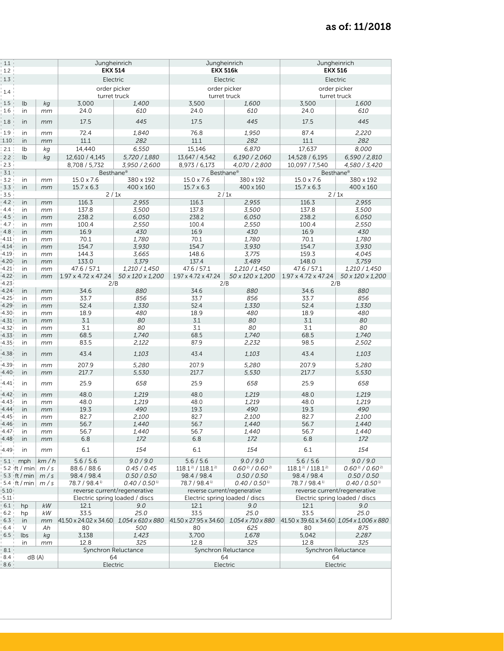| Jungheinrich<br><b>EKX 516</b><br>Electric<br>order picker                                                                   |  |  |
|------------------------------------------------------------------------------------------------------------------------------|--|--|
|                                                                                                                              |  |  |
|                                                                                                                              |  |  |
|                                                                                                                              |  |  |
| turret truck                                                                                                                 |  |  |
| 3,500<br>1,600                                                                                                               |  |  |
| 24.0                                                                                                                         |  |  |
| 17.5                                                                                                                         |  |  |
| 87.4<br>2,220                                                                                                                |  |  |
|                                                                                                                              |  |  |
| 8,000<br>17,637                                                                                                              |  |  |
| 14,528 / 6,195<br>6,590 / 2,810<br>10,097 / 7,540<br>4,580 / 3,420                                                           |  |  |
| Besthane®                                                                                                                    |  |  |
| 15.0 x 7.6<br>380 x 192                                                                                                      |  |  |
| $15.7 \times 6.3$<br>400 x 160                                                                                               |  |  |
| 2/1x                                                                                                                         |  |  |
| 2,955<br>116.3<br>137.8<br>3,500                                                                                             |  |  |
| 238.2<br>6,050                                                                                                               |  |  |
| 100.4<br>2,550                                                                                                               |  |  |
| 16.9                                                                                                                         |  |  |
| 70.1<br>1,780                                                                                                                |  |  |
| 154.7<br>3,930<br>159.3<br>4,045                                                                                             |  |  |
| 148.0<br>3,759                                                                                                               |  |  |
| 47.6 / 57.1<br>1.210 / 1.450                                                                                                 |  |  |
| 50 x 120 x 1,200 1.97 x 4.72 x 47.24 50 x 120 x 1,200<br>2/B                                                                 |  |  |
| 34.6                                                                                                                         |  |  |
|                                                                                                                              |  |  |
|                                                                                                                              |  |  |
| 18.9                                                                                                                         |  |  |
|                                                                                                                              |  |  |
| 68.5                                                                                                                         |  |  |
| 98.5<br>2,502                                                                                                                |  |  |
| 43.4<br>1,103                                                                                                                |  |  |
| 207.9<br>5,280                                                                                                               |  |  |
| 217.7<br>5,530                                                                                                               |  |  |
| 25.9                                                                                                                         |  |  |
| 48.0                                                                                                                         |  |  |
| 48.0<br>1,219<br>19.3                                                                                                        |  |  |
| 2,100                                                                                                                        |  |  |
| 56.7<br>1,440                                                                                                                |  |  |
| 1,440<br>56.7                                                                                                                |  |  |
|                                                                                                                              |  |  |
| 5.6 / 5.6<br>9.0 / 9.0                                                                                                       |  |  |
| $0.60^{21} / 0.60^{21}$<br>$118.1^{2)}$ / $118.1^{2}$                                                                        |  |  |
| 0.50 / 0.50<br>98.4 / 98.4                                                                                                   |  |  |
| $0.40 / 0.50$ <sup>1)</sup><br>78.7 / 98.4 <sup>1)</sup>                                                                     |  |  |
| reverse current/regenerative<br>Electric spring loaded / discs                                                               |  |  |
|                                                                                                                              |  |  |
| 12.1                                                                                                                         |  |  |
| 33.5                                                                                                                         |  |  |
| mm 41.50 x 24.02 x 34.60 1,054 x 610 x 880 41.50 x 27.95 x 34.60 1,054 x 710 x 880 41.50 x 39.61 x 34.60 1,054 x 1,006 x 880 |  |  |
|                                                                                                                              |  |  |
| 5,042<br>2,287<br>12.8                                                                                                       |  |  |
| Synchron Reluctance                                                                                                          |  |  |
| 64<br>Electric                                                                                                               |  |  |
|                                                                                                                              |  |  |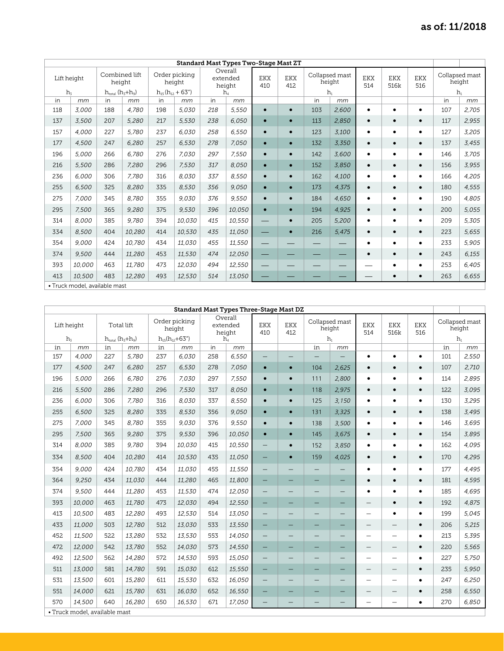|                |                               |                                 |        |                         |                         |                               | Standard Mast Types Two-Stage Mast ZT |                                |                   |                                     |       |                   |                                |                   |                                |       |
|----------------|-------------------------------|---------------------------------|--------|-------------------------|-------------------------|-------------------------------|---------------------------------------|--------------------------------|-------------------|-------------------------------------|-------|-------------------|--------------------------------|-------------------|--------------------------------|-------|
| Lift height    |                               | Combined lift<br>height         |        |                         | Order picking<br>height | Overall<br>extended<br>height |                                       | <b>EKX</b><br>410              | <b>EKX</b><br>412 | Collapsed mast<br>height<br>$h_{1}$ |       | <b>EKX</b><br>514 | <b>EKX</b><br>516 <sub>k</sub> | <b>EKX</b><br>516 | Collapsed mast<br>height<br>h. |       |
| h <sub>z</sub> |                               | $h_{\text{total}}(h_{3}+h_{9})$ |        | $h_{15}(h_{12} + 63'')$ |                         | h.                            |                                       |                                |                   |                                     |       |                   |                                |                   |                                |       |
| in             | mm                            | in                              | mm     | in                      | mm                      | in                            | mm                                    |                                |                   | in                                  | mm    |                   |                                |                   | in                             | mm    |
| 118            | 3.000                         | 188                             | 4.780  | 198                     | 5.030                   | 218                           | 5,550                                 | $\bullet$                      | $\bullet$         | 103                                 | 2.600 | $\bullet$         | $\bullet$                      | $\bullet$         | 107                            | 2,705 |
| 137            | 3,500                         | 207                             | 5,280  | 217                     | 5,530                   | 238                           | 6,050                                 | $\bullet$                      | $\bullet$         | 113                                 | 2,850 | $\bullet$         | $\bullet$                      | $\bullet$         | 117                            | 2,955 |
| 157            | 4,000                         | 227                             | 5.780  | 237                     | 6,030                   | 258                           | 6,550                                 | $\bullet$                      | $\bullet$         | 123                                 | 3,100 | $\bullet$         | $\bullet$                      | $\bullet$         | 127                            | 3,205 |
| 177            | 4,500                         | 247                             | 6,280  | 257                     | 6,530                   | 278                           | 7,050                                 | $\bullet$                      | $\bullet$         | 132                                 | 3,350 | $\bullet$         | $\bullet$                      | $\bullet$         | 137                            | 3,455 |
| 196            | 5.000                         | 266                             | 6.780  | 276                     | 7.030                   | 297                           | 7,550                                 | $\bullet$                      | $\bullet$         | 142                                 | 3.600 | $\bullet$         | $\bullet$                      | $\bullet$         | 146                            | 3,705 |
| 216            | 5,500                         | 286                             | 7.280  | 296                     | 7,530                   | 317                           | 8,050                                 | $\bullet$                      | $\bullet$         | 152                                 | 3,850 | $\bullet$         | $\bullet$                      | $\bullet$         | 156                            | 3,955 |
| 236            | 6.000                         | 306                             | 7.780  | 316                     | 8.030                   | 337                           | 8,550                                 | $\bullet$                      | $\bullet$         | 162                                 | 4,100 | $\bullet$         | $\bullet$                      | $\bullet$         | 166                            | 4,205 |
| 255            | 6,500                         | 325                             | 8,280  | 335                     | 8,530                   | 356                           | 9,050                                 | $\bullet$                      | $\bullet$         | 173                                 | 4,375 | $\bullet$         | $\bullet$                      | $\bullet$         | 180                            | 4,555 |
| 275            | 7.000                         | 345                             | 8.780  | 355                     | 9,030                   | 376                           | 9,550                                 | $\bullet$                      | $\bullet$         | 184                                 | 4,650 | $\bullet$         | $\bullet$                      | $\bullet$         | 190                            | 4,805 |
| 295            | 7,500                         | 365                             | 9,280  | 375                     | 9,530                   | 396                           | 10,050                                | $\bullet$                      | $\bullet$         | 194                                 | 4,925 | $\bullet$         | $\bullet$                      | $\bullet$         | 200                            | 5,055 |
| 314            | 8.000                         | 385                             | 9.780  | 394                     | 10.030                  | 415                           | 10,550                                |                                | $\bullet$         | 205                                 | 5,200 | $\bullet$         | $\bullet$                      | $\bullet$         | 209                            | 5,305 |
| 334            | 8,500                         | 404                             | 10,280 | 414                     | 10,530                  | 435                           | 11,050                                |                                | $\bullet$         | 216                                 | 5,475 | $\bullet$         | $\bullet$                      | $\bullet$         | 223                            | 5,655 |
| 354            | 9.000                         | 424                             | 10,780 | 434                     | 11.030                  | 455                           | 11,550                                |                                |                   |                                     |       | $\bullet$         | $\bullet$                      | $\bullet$         | 233                            | 5,905 |
| 374            | 9,500                         | 444                             | 11,280 | 453                     | 11,530                  | 474                           | 12,050                                |                                |                   |                                     |       | $\bullet$         | $\bullet$                      | $\bullet$         | 243                            | 6,155 |
| 393            | 10,000                        | 463                             | 11,780 | 473                     | 12,030                  | 494                           | 12,550                                | $\overbrace{\phantom{123321}}$ |                   |                                     |       |                   | $\bullet$                      | $\bullet$         | 253                            | 6,405 |
| 413            | 10,500                        | 483                             | 12,280 | 493                     | 12,530                  | 514                           | 13,050                                |                                |                   |                                     |       |                   | $\bullet$                      | $\bullet$         | 263                            | 6,655 |
|                | · Truck model, available mast |                                 |        |                         |                         |                               |                                       |                                |                   |                                     |       |                   |                                |                   |                                |       |

| Standard Mast Types Three-Stage Mast DZ |                               |                                 |        |                         |        |                               |        |                          |                          |                          |                          |                   |                                |            |                          |       |
|-----------------------------------------|-------------------------------|---------------------------------|--------|-------------------------|--------|-------------------------------|--------|--------------------------|--------------------------|--------------------------|--------------------------|-------------------|--------------------------------|------------|--------------------------|-------|
| Lift height                             |                               | Total lift                      |        | Order picking<br>height |        | Overall<br>extended<br>height |        | <b>EKX</b><br>410        | EKX<br>412               | Collapsed mast<br>height |                          | <b>EKX</b><br>514 | <b>EKX</b><br>516 <sub>k</sub> | EKX<br>516 | Collapsed mast<br>height |       |
| h <sub>3</sub>                          |                               | $h_{\text{total}}(h_{3}+h_{9})$ |        | $h_{15}(h_{12}+63")$    |        | h                             |        |                          |                          | h <sub>1</sub>           |                          |                   |                                |            | $h_1$                    |       |
| in                                      | mm                            | in                              | mm     | in                      | mm     | in                            | mm     |                          |                          | in                       | mm                       |                   |                                |            | in                       | mm    |
| 157                                     | 4,000                         | 227                             | 5,780  | 237                     | 6,030  | 258                           | 6,550  | $\overline{\phantom{0}}$ | $\qquad \qquad$          |                          |                          | $\bullet$         | $\bullet$                      | $\bullet$  | 101                      | 2,550 |
| 177                                     | 4,500                         | 247                             | 6,280  | 257                     | 6,530  | 278                           | 7,050  | $\bullet$                | $\bullet$                | 104                      | 2,625                    | $\bullet$         | $\bullet$                      | $\bullet$  | 107                      | 2,710 |
| 196                                     | 5.000                         | 266                             | 6,780  | 276                     | 7.030  | 297                           | 7,550  | $\bullet$                | $\bullet$                | 111                      | 2,800                    | $\bullet$         | $\bullet$                      | $\bullet$  | 114                      | 2,895 |
| 216                                     | 5,500                         | 286                             | 7,280  | 296                     | 7,530  | 317                           | 8,050  | $\bullet$                | $\bullet$                | 118                      | 2,975                    | $\bullet$         | $\bullet$                      | $\bullet$  | 122                      | 3,095 |
| 236                                     | 6,000                         | 306                             | 7,780  | 316                     | 8,030  | 337                           | 8,550  | $\bullet$                | $\bullet$                | 125                      | 3,150                    | $\bullet$         | $\bullet$                      | $\bullet$  | 130                      | 3,295 |
| 255                                     | 6,500                         | 325                             | 8,280  | 335                     | 8,530  | 356                           | 9,050  | $\bullet$                | $\bullet$                | 131                      | 3,325                    | $\bullet$         | $\bullet$                      | $\bullet$  | 138                      | 3,495 |
| 275                                     | 7,000                         | 345                             | 8,780  | 355                     | 9,030  | 376                           | 9,550  | $\bullet$                | $\bullet$                | 138                      | 3,500                    | $\bullet$         | $\bullet$                      | $\bullet$  | 146                      | 3,695 |
| 295                                     | 7,500                         | 365                             | 9.280  | 375                     | 9.530  | 396                           | 10,050 | $\bullet$                | $\bullet$                | 145                      | 3,675                    | $\bullet$         | $\bullet$                      | $\bullet$  | 154                      | 3,895 |
| 314                                     | 8,000                         | 385                             | 9,780  | 394                     | 10,030 | 415                           | 10,550 | $-$                      | $\bullet$                | 152                      | 3,850                    | $\bullet$         | $\bullet$                      | $\bullet$  | 162                      | 4,095 |
| 334                                     | 8.500                         | 404                             | 10,280 | 414                     | 10,530 | 435                           | 11,050 | $\equiv$                 | $\bullet$                | 159                      | 4,025                    | $\bullet$         | $\bullet$                      | $\bullet$  | 170                      | 4,295 |
| 354                                     | 9.000                         | 424                             | 10.780 | 434                     | 11.030 | 455                           | 11,550 | $\qquad \qquad -$        | $\qquad \qquad -$        | $\qquad \qquad -$        |                          | $\bullet$         | $\bullet$                      | $\bullet$  | 177                      | 4,495 |
| 364                                     | 9,250                         | 434                             | 11,030 | 444                     | 11,280 | 465                           | 11,800 | $\overline{\phantom{0}}$ | $\qquad \qquad -$        | -                        | $\qquad \qquad -$        | $\bullet$         | $\bullet$                      | $\bullet$  | 181                      | 4,595 |
| 374                                     | 9,500                         | 444                             | 11,280 | 453                     | 11,530 | 474                           | 12,050 | $\qquad \qquad -$        | $\qquad \qquad -$        | —                        | —                        | $\bullet$         | $\bullet$                      | $\bullet$  | 185                      | 4,695 |
| 393                                     | 10,000                        | 463                             | 11,780 | 473                     | 12.030 | 494                           | 12,550 | $\qquad \qquad -$        | -                        | $\qquad \qquad -$        |                          |                   | $\bullet$                      | $\bullet$  | 192                      | 4,875 |
| 413                                     | 10,500                        | 483                             | 12,280 | 493                     | 12,530 | 514                           | 13,050 | $\overline{\phantom{0}}$ | $\qquad \qquad -$        | —                        | $\overline{\phantom{0}}$ |                   | $\bullet$                      | $\bullet$  | 199                      | 5,045 |
| 433                                     | 11,000                        | 503                             | 12,780 | 512                     | 13,030 | 533                           | 13,550 |                          | —                        | —                        |                          |                   |                                | $\bullet$  | 206                      | 5,215 |
| 452                                     | 11,500                        | 522                             | 13,280 | 532                     | 13,530 | 553                           | 14,050 | $\qquad \qquad -$        | $\overline{\phantom{m}}$ | $\qquad \qquad -$        | —                        |                   | $\overline{\phantom{0}}$       | $\bullet$  | 213                      | 5,395 |
| 472                                     | 12,000                        | 542                             | 13,780 | 552                     | 14,030 | 573                           | 14,550 | $\equiv$                 | $\qquad \qquad -$        | -                        | $\overline{\phantom{0}}$ |                   | $\overline{\phantom{0}}$       | $\bullet$  | 220                      | 5,565 |
| 492                                     | 12,500                        | 562                             | 14,280 | 572                     | 14,530 | 593                           | 15,050 | $\overline{\phantom{0}}$ | $\qquad \qquad -$        | —                        | —                        |                   | $\overline{\phantom{0}}$       | $\bullet$  | 227                      | 5,750 |
| 511                                     | 13,000                        | 581                             | 14,780 | 591                     | 15,030 | 612                           | 15,550 | $\qquad \qquad -$        | $\qquad \qquad -$        | -                        | —                        |                   | $\qquad \qquad -$              | $\bullet$  | 235                      | 5,950 |
| 531                                     | 13,500                        | 601                             | 15,280 | 611                     | 15,530 | 632                           | 16,050 | $-$                      |                          | $\overline{\phantom{0}}$ | $\overline{\phantom{0}}$ |                   | $\overline{\phantom{0}}$       | $\bullet$  | 247                      | 6,250 |
| 551                                     | 14,000                        | 621                             | 15,780 | 631                     | 16,030 | 652                           | 16,550 |                          |                          |                          |                          |                   |                                | $\bullet$  | 258                      | 6,550 |
| 570                                     | 14,500                        | 640                             | 16,280 | 650                     | 16,530 | 671                           | 17,050 |                          | —                        | $\qquad \qquad -$        |                          |                   |                                | $\bullet$  | 270                      | 6,850 |
|                                         | · Truck model, available mast |                                 |        |                         |        |                               |        |                          |                          |                          |                          |                   |                                |            |                          |       |

• Truck model, available mast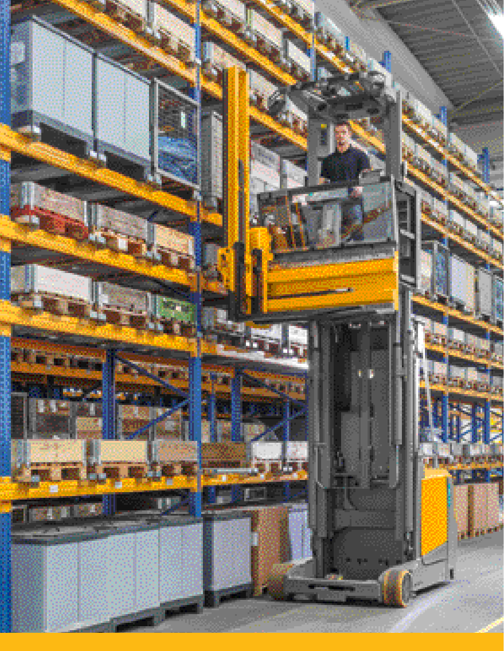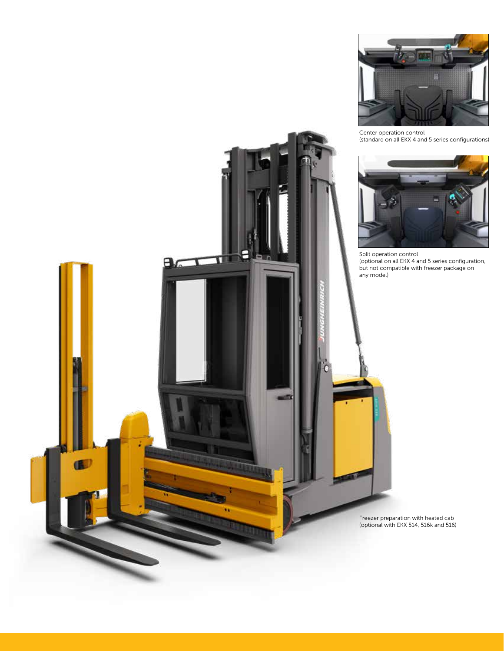

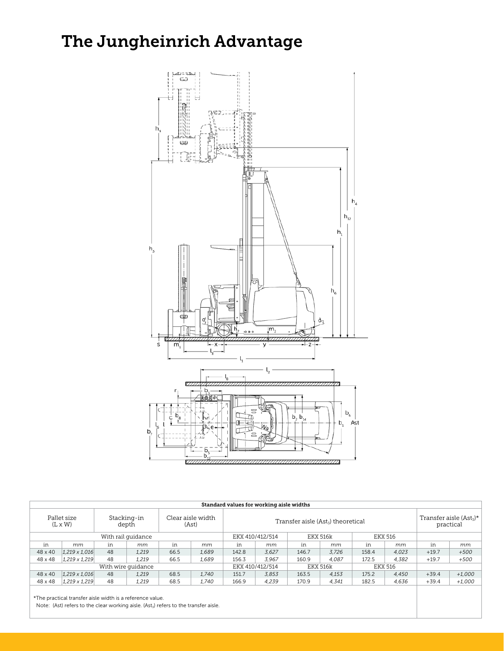# The Jungheinrich Advantage



|                                                                                                                                                                            | Standard values for working aisle widths |    |                      |      |                            |       |                                                |                                           |          |       |         |         |          |
|----------------------------------------------------------------------------------------------------------------------------------------------------------------------------|------------------------------------------|----|----------------------|------|----------------------------|-------|------------------------------------------------|-------------------------------------------|----------|-------|---------|---------|----------|
|                                                                                                                                                                            | Pallet size<br>$(L \times W)$            |    | Stacking-in<br>depth |      | Clear aisle width<br>(Ast) |       | Transfer aisle (Ast <sub>3</sub> ) theoretical | Transfer aisle $(Ast_{3})^*$<br>practical |          |       |         |         |          |
|                                                                                                                                                                            |                                          |    | With rail quidance   |      |                            |       | EKX 410/412/514                                |                                           | EKX 516k |       | EKX 516 |         |          |
| in                                                                                                                                                                         | mm                                       | in | mm                   | in   | mm                         | in    | mm                                             | in                                        | mm       | in    | mm      | in      | mm       |
| $48 \times 40$                                                                                                                                                             | $1.219 \times 1.016$                     | 48 | 1.219                | 66.5 | 1,689                      | 142.8 | 3.627                                          | 146.7                                     | 3.726    | 158.4 | 4.023   | $+19.7$ | $+500$   |
| $48 \times 48$                                                                                                                                                             | $1.219 \times 1.219$                     | 48 | 1.219                | 66.5 | 1.689                      | 156.3 | 3.967                                          | 160.9                                     | 4.087    | 172.5 | 4.382   | $+19.7$ | $+500$   |
|                                                                                                                                                                            |                                          |    | With wire quidance   |      |                            |       | EKX 410/412/514                                |                                           | EKX 516k |       | EKX 516 |         |          |
| $48 \times 40$                                                                                                                                                             | $1,219 \times 1,016$                     | 48 | 1,219                | 68.5 | 1.740                      | 151.7 | 3.853                                          | 163.5                                     | 4.153    | 175.2 | 4.450   | $+39.4$ | $+1.000$ |
| $48 \times 48$                                                                                                                                                             | $ 1,219 \times 1,219 $                   | 48 | 1,219                | 68.5 | 1.740                      | 166.9 | 4,239                                          | 170.9                                     | 4,341    | 182.5 | 4,636   | $+39.4$ | $+1,000$ |
| *The practical transfer aisle width is a reference value.<br>Note: (Ast) refers to the clear working aisle. (Ast <sub><math>3</math></sub> ) refers to the transfer aisle. |                                          |    |                      |      |                            |       |                                                |                                           |          |       |         |         |          |